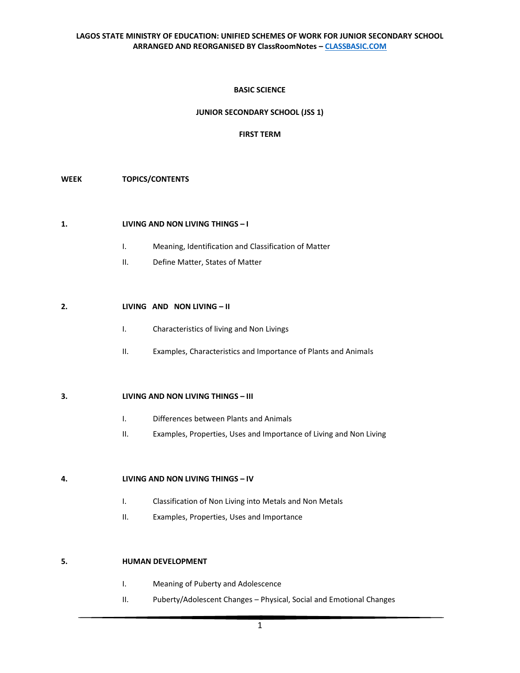### **BASIC SCIENCE**

# **JUNIOR SECONDARY SCHOOL (JSS 1)**

### **FIRST TERM**

#### **WEEK TOPICS/CONTENTS**

#### **1. LIVING AND NON LIVING THINGS – I**

- I. Meaning, Identification and Classification of Matter
- II. Define Matter, States of Matter

#### **2. LIVING AND NON LIVING – II**

- I. Characteristics of living and Non Livings
- II. Examples, Characteristics and Importance of Plants and Animals

#### **3. LIVING AND NON LIVING THINGS – III**

- I. Differences between Plants and Animals
- II. Examples, Properties, Uses and Importance of Living and Non Living

#### **4. LIVING AND NON LIVING THINGS – IV**

- I. Classification of Non Living into Metals and Non Metals
- II. Examples, Properties, Uses and Importance

#### **5. HUMAN DEVELOPMENT**

- I. Meaning of Puberty and Adolescence
- II. Puberty/Adolescent Changes Physical, Social and Emotional Changes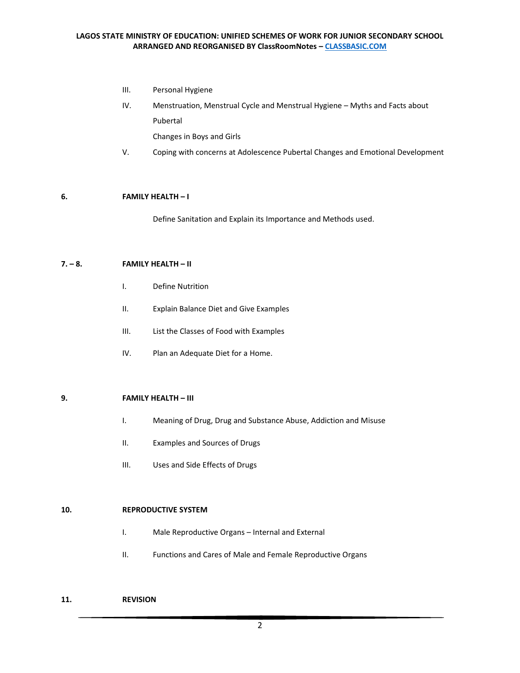- III. Personal Hygiene
- IV. Menstruation, Menstrual Cycle and Menstrual Hygiene Myths and Facts about Pubertal

Changes in Boys and Girls

V. Coping with concerns at Adolescence Pubertal Changes and Emotional Development

# **6. FAMILY HEALTH – I**

Define Sanitation and Explain its Importance and Methods used.

# **7. – 8. FAMILY HEALTH – II**

- I. Define Nutrition
- II. Explain Balance Diet and Give Examples
- III. List the Classes of Food with Examples
- IV. Plan an Adequate Diet for a Home.

### **9. FAMILY HEALTH – III**

- I. Meaning of Drug, Drug and Substance Abuse, Addiction and Misuse
- II. Examples and Sources of Drugs
- III. Uses and Side Effects of Drugs

### **10. REPRODUCTIVE SYSTEM**

- I. Male Reproductive Organs Internal and External
- II. Functions and Cares of Male and Female Reproductive Organs

#### **11. REVISION**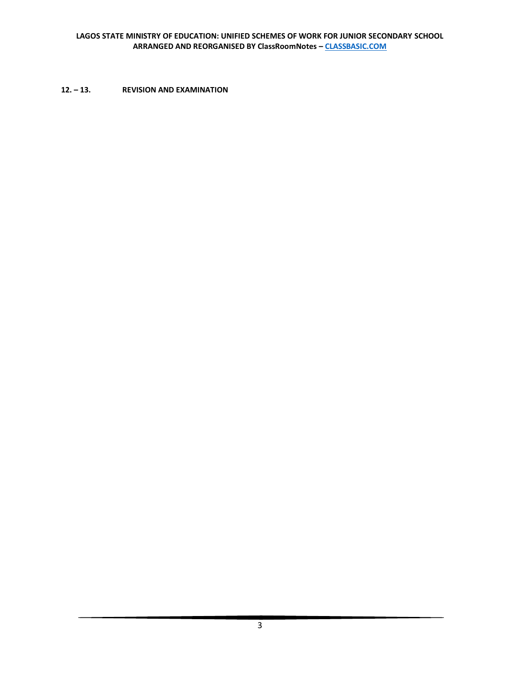# **12. – 13. REVISION AND EXAMINATION**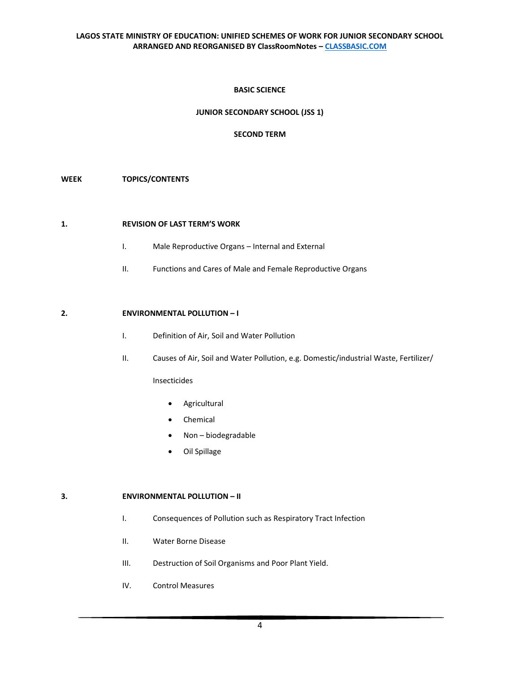### **BASIC SCIENCE**

# **JUNIOR SECONDARY SCHOOL (JSS 1)**

### **SECOND TERM**

#### **WEEK TOPICS/CONTENTS**

#### **1. REVISION OF LAST TERM'S WORK**

- I. Male Reproductive Organs Internal and External
- II. Functions and Cares of Male and Female Reproductive Organs

### **2. ENVIRONMENTAL POLLUTION – I**

- I. Definition of Air, Soil and Water Pollution
- II. Causes of Air, Soil and Water Pollution, e.g. Domestic/industrial Waste, Fertilizer/

Insecticides

- Agricultural
- **Chemical**
- Non biodegradable
- Oil Spillage

#### **3. ENVIRONMENTAL POLLUTION – II**

- I. Consequences of Pollution such as Respiratory Tract Infection
- II. Water Borne Disease
- III. Destruction of Soil Organisms and Poor Plant Yield.
- IV. Control Measures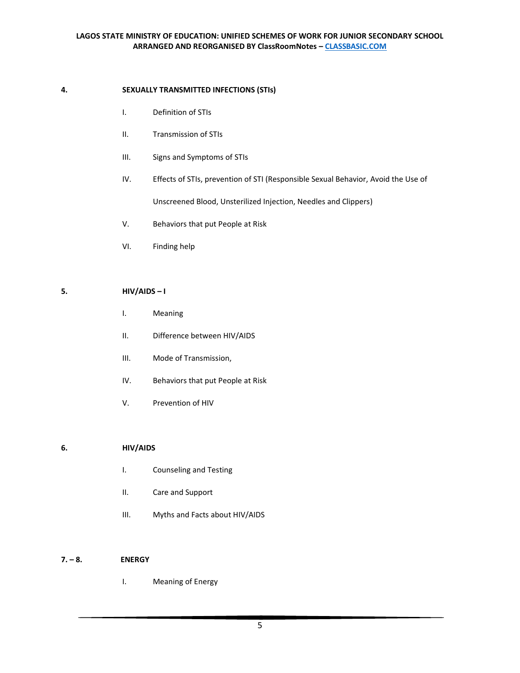# **4. SEXUALLY TRANSMITTED INFECTIONS (STIs)**

- I. Definition of STIs
- II. Transmission of STIs
- III. Signs and Symptoms of STIs
- IV. Effects of STIs, prevention of STI (Responsible Sexual Behavior, Avoid the Use of Unscreened Blood, Unsterilized Injection, Needles and Clippers)
- V. Behaviors that put People at Risk
- VI. Finding help

# **5. HIV/AIDS – I**

- I. Meaning
- II. Difference between HIV/AIDS
- III. Mode of Transmission,
- IV. Behaviors that put People at Risk
- V. Prevention of HIV

### **6. HIV/AIDS**

- I. Counseling and Testing
- II. Care and Support
- III. Myths and Facts about HIV/AIDS

### **7. – 8. ENERGY**

I. Meaning of Energy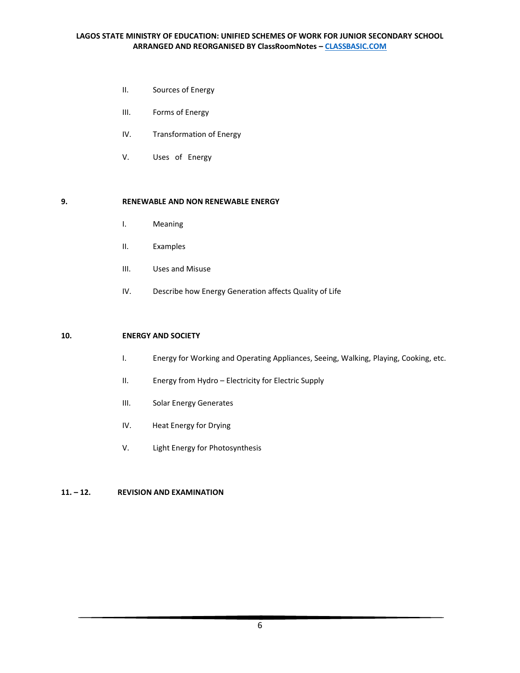- II. Sources of Energy
- III. Forms of Energy
- IV. Transformation of Energy
- V. Uses of Energy

#### **9. RENEWABLE AND NON RENEWABLE ENERGY**

- I. Meaning
- II. Examples
- III. Uses and Misuse
- IV. Describe how Energy Generation affects Quality of Life

#### **10. ENERGY AND SOCIETY**

- I. Energy for Working and Operating Appliances, Seeing, Walking, Playing, Cooking, etc.
- II. Energy from Hydro Electricity for Electric Supply
- III. Solar Energy Generates
- IV. Heat Energy for Drying
- V. Light Energy for Photosynthesis

### **11. – 12. REVISION AND EXAMINATION**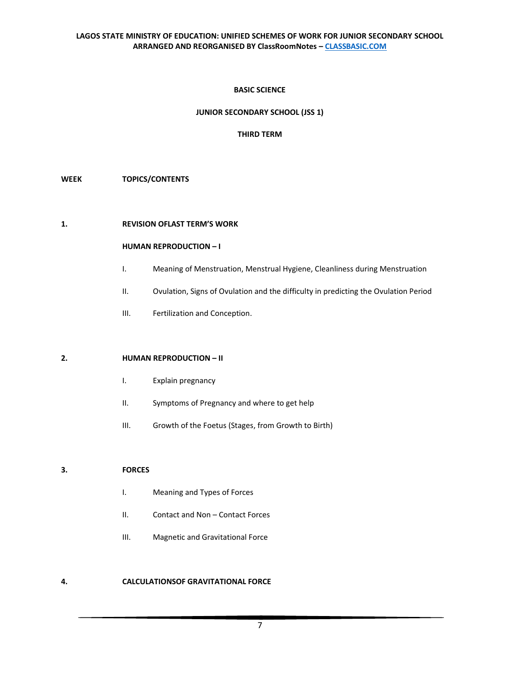### **BASIC SCIENCE**

### **JUNIOR SECONDARY SCHOOL (JSS 1)**

#### **THIRD TERM**

#### **WEEK TOPICS/CONTENTS**

#### **1. REVISION OFLAST TERM'S WORK**

#### **HUMAN REPRODUCTION – I**

- I. Meaning of Menstruation, Menstrual Hygiene, Cleanliness during Menstruation
- II. Ovulation, Signs of Ovulation and the difficulty in predicting the Ovulation Period
- III. Fertilization and Conception.

#### **2. HUMAN REPRODUCTION – II**

- I. Explain pregnancy
- II. Symptoms of Pregnancy and where to get help
- III. Growth of the Foetus (Stages, from Growth to Birth)

### **3. FORCES**

- I. Meaning and Types of Forces
- II. Contact and Non Contact Forces
- III. Magnetic and Gravitational Force

#### **4. CALCULATIONSOF GRAVITATIONAL FORCE**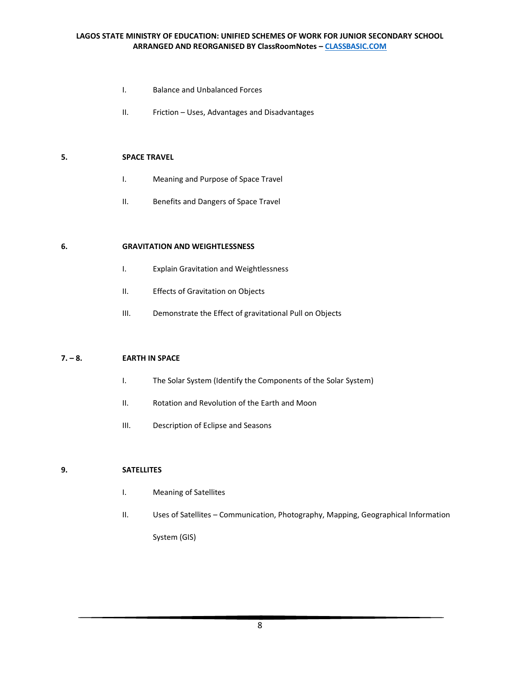- I. Balance and Unbalanced Forces
- II. Friction Uses, Advantages and Disadvantages

#### **5. SPACE TRAVEL**

- I. Meaning and Purpose of Space Travel
- II. Benefits and Dangers of Space Travel

#### **6. GRAVITATION AND WEIGHTLESSNESS**

- I. Explain Gravitation and Weightlessness
- II. Effects of Gravitation on Objects
- III. Demonstrate the Effect of gravitational Pull on Objects

### **7. – 8. EARTH IN SPACE**

- I. The Solar System (Identify the Components of the Solar System)
- II. Rotation and Revolution of the Earth and Moon
- III. Description of Eclipse and Seasons

### **9. SATELLITES**

- I. Meaning of Satellites
- II. Uses of Satellites Communication, Photography, Mapping, Geographical Information System (GIS)